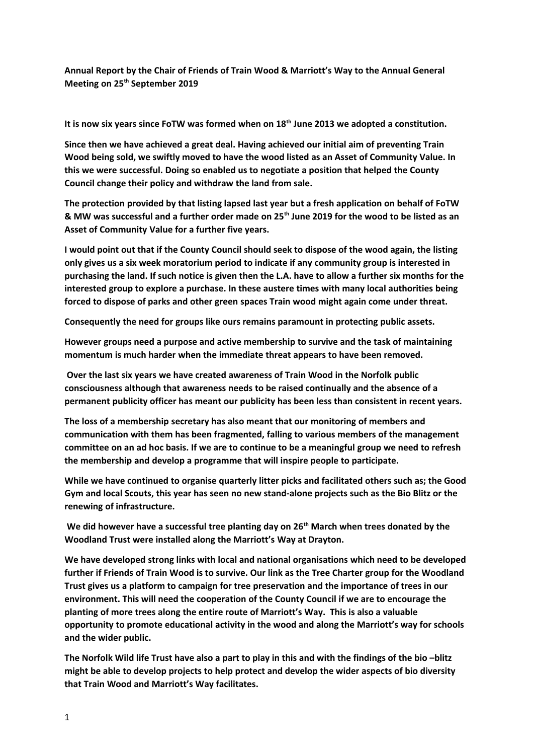**Annual Report by the Chair of Friends of Train Wood & Marriott's Way to the Annual General Meeting on 25th September 2019**

**It is now six years since FoTW was formed when on 18th June 2013 we adopted a constitution.**

**Since then we have achieved a great deal. Having achieved our initial aim of preventing Train Wood being sold, we swiftly moved to have the wood listed as an Asset of Community Value. In this we were successful. Doing so enabled us to negotiate a position that helped the County Council change their policy and withdraw the land from sale.** 

**The protection provided by that listing lapsed last year but a fresh application on behalf of FoTW & MW was successful and a further order made on 25th June 2019 for the wood to be listed as an Asset of Community Value for a further five years.**

**I would point out that if the County Council should seek to dispose of the wood again, the listing only gives us a six week moratorium period to indicate if any community group is interested in purchasing the land. If such notice is given then the L.A. have to allow a further six months for the interested group to explore a purchase. In these austere times with many local authorities being forced to dispose of parks and other green spaces Train wood might again come under threat.**

**Consequently the need for groups like ours remains paramount in protecting public assets.**

**However groups need a purpose and active membership to survive and the task of maintaining momentum is much harder when the immediate threat appears to have been removed.**

 **Over the last six years we have created awareness of Train Wood in the Norfolk public consciousness although that awareness needs to be raised continually and the absence of a permanent publicity officer has meant our publicity has been less than consistent in recent years.**

**The loss of a membership secretary has also meant that our monitoring of members and communication with them has been fragmented, falling to various members of the management committee on an ad hoc basis. If we are to continue to be a meaningful group we need to refresh the membership and develop a programme that will inspire people to participate.**

**While we have continued to organise quarterly litter picks and facilitated others such as; the Good Gym and local Scouts, this year has seen no new stand-alone projects such as the Bio Blitz or the renewing of infrastructure.**

 **We did however have a successful tree planting day on 26th March when trees donated by the Woodland Trust were installed along the Marriott's Way at Drayton.** 

**We have developed strong links with local and national organisations which need to be developed further if Friends of Train Wood is to survive. Our link as the Tree Charter group for the Woodland Trust gives us a platform to campaign for tree preservation and the importance of trees in our environment. This will need the cooperation of the County Council if we are to encourage the planting of more trees along the entire route of Marriott's Way. This is also a valuable opportunity to promote educational activity in the wood and along the Marriott's way for schools and the wider public.**

**The Norfolk Wild life Trust have also a part to play in this and with the findings of the bio –blitz might be able to develop projects to help protect and develop the wider aspects of bio diversity that Train Wood and Marriott's Way facilitates.**